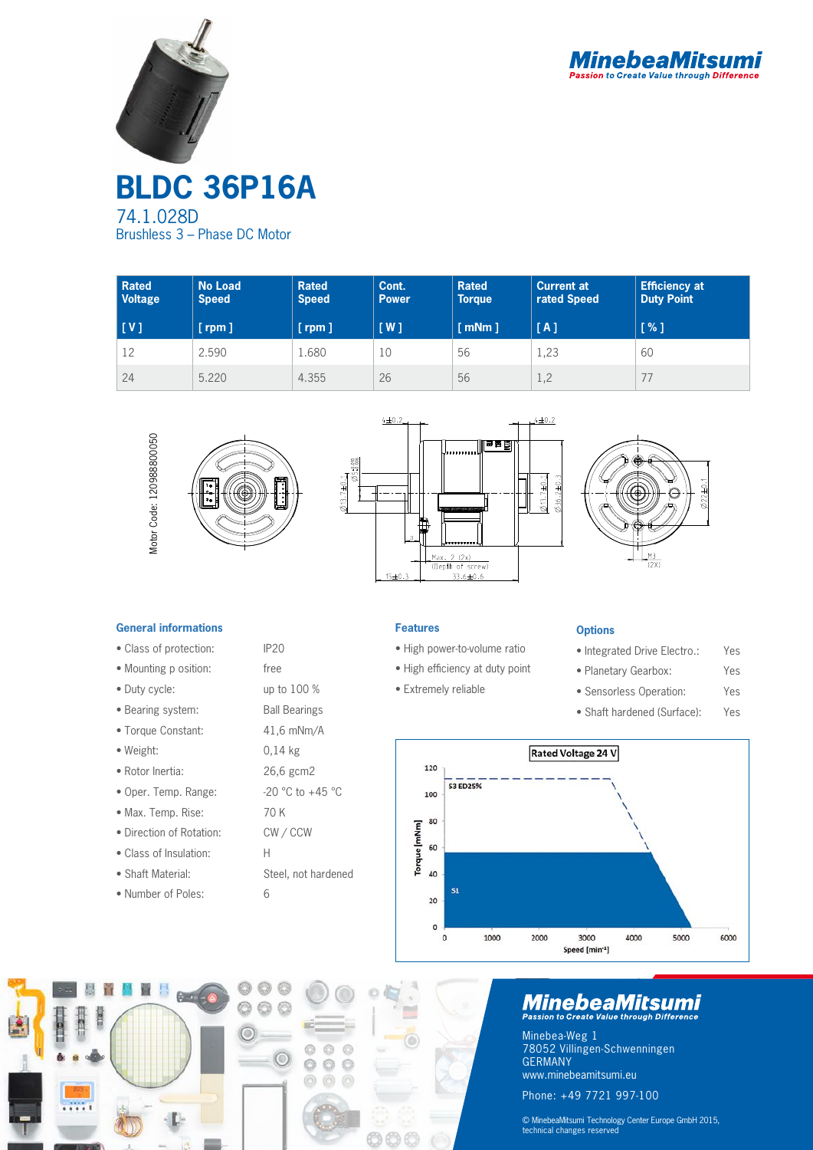



**BLDC 36P16A** 74.1.028D Brushless 3 – Phase DC Motor

| Rated<br><b>Voltage</b>      | <b>No Load</b><br><b>Speed</b> | <b>Rated</b><br><b>Speed</b> | Cont.<br><b>Power</b> | <b>Rated</b><br><b>Torque</b> | <b>Current at</b><br>rated Speed | <b>Efficiency at</b><br><b>Duty Point</b> |
|------------------------------|--------------------------------|------------------------------|-----------------------|-------------------------------|----------------------------------|-------------------------------------------|
| $\lfloor \mathsf{V} \rfloor$ | [rpm]                          | $[$ rpm $]$                  | [W]                   | $\lceil$ mNm $\rceil$         | [A]                              | [%]                                       |
| 12                           | 2.590                          | 1.680                        | 10                    | 56                            | 1,23                             | 60                                        |
| 24                           | 5.220                          | 4.355                        | 26                    | 56                            | 1,2                              | 77                                        |









## **General informations**

- Class of protection: IP20
- Mounting p osition: free
- Duty cycle: up to 100 %
- Bearing system: Ball Bearings
- Torque Constant: 41,6 mNm/A
- Weight: 0,14 kg
- Rotor Inertia: 26,6 gcm2
- Oper. Temp. Range:  $-20$  °C to  $+45$  °C
- Max. Temp. Rise: 70 K
- Direction of Rotation: CW / CCW
- Class of Insulation: H
- Shaft Material: Steel, not hardened
- Number of Poles: 6



- High power-to-volume ratio
- High efficiency at duty point
- Extremely reliable
	-

#### **Options**

- Integrated Drive Electro.: Yes
- Planetary Gearbox: Yes
- Sensorless Operation: Yes
- Shaft hardened (Surface): Yes





# **MinebeaMitsumi**

Minebea-Weg 1 78052 Villingen-Schwenningen GERMANY www.minebeamitsumi.eu Phone: +49 7721 997-100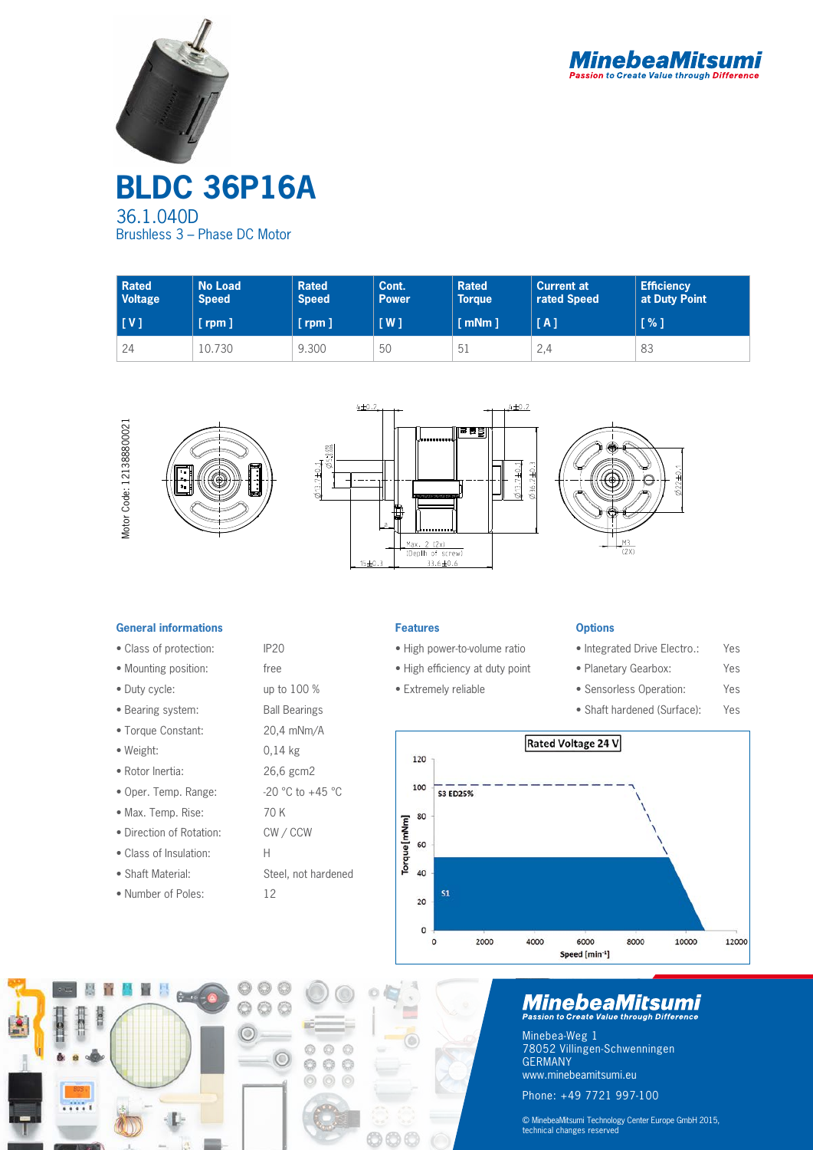



**BLDC 36P16A** 36.1.040D Brushless 3 – Phase DC Motor

| <b>Rated</b><br><b>Voltage</b> | <b>No Load</b><br><b>Speed</b> | <b>Rated</b><br><b>Speed</b> | Cont.<br><b>Power</b> | <b>Rated</b><br><b>Torque</b> | <b>Current at</b><br>rated Speed | <b>Efficiency</b><br>at Duty Point |
|--------------------------------|--------------------------------|------------------------------|-----------------------|-------------------------------|----------------------------------|------------------------------------|
| [V]                            | $[$ rpm $]$                    | $[$ rpm $]$                  | [W]                   | $\lceil$ mNm $\rceil$         | [A]                              | [%]                                |
| 24                             | 10.730                         | 9.300                        | 50                    | 51                            | 2,4                              | 83                                 |



### **General informations**

- Class of protection: IP20
- Mounting position: free
- Duty cycle: up to 100 %
- Bearing system: Ball Bearings
- Torque Constant: 20,4 mNm/A
- Weight: 0,14 kg
- Rotor Inertia: 26,6 gcm2
- Oper. Temp. Range:  $-20$  °C to  $+45$  °C
- Max. Temp. Rise: 70 K
- Direction of Rotation: CW / CCW
- Class of Insulation: H
- Shaft Material: Steel, not hardened
- Number of Poles: 12

**Features**

- High power-to-volume ratio
- High efficiency at duty point
- Extremely reliable

## **Options**

- Integrated Drive Electro.: Yes
- Planetary Gearbox: Yes
- Sensorless Operation: Yes
- Shaft hardened (Surface): Yes





# **MinebeaMitsumi**

Minebea-Weg 1 78052 Villingen-Schwenningen GERMANY www.minebeamitsumi.eu Phone: +49 7721 997-100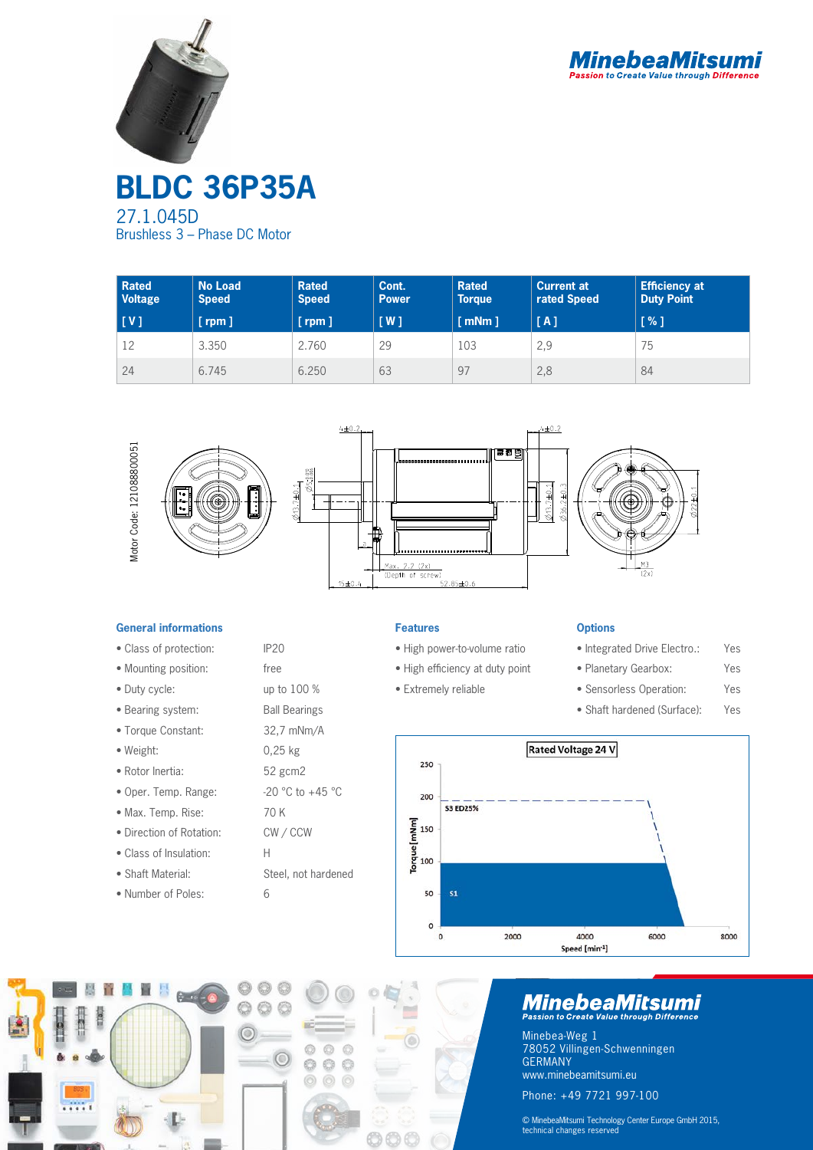



**BLDC 36P35A** 27.1.045D Brushless 3 – Phase DC Motor

| <b>Rated</b><br><b>Voltage</b> | <b>No Load</b><br><b>Speed</b> | <b>Rated</b><br><b>Speed</b> | Cont.<br><b>Power</b> | <b>Rated</b><br><b>Torque</b> | <b>Current at</b><br>rated Speed | <b>Efficiency at</b><br><b>Duty Point</b> |
|--------------------------------|--------------------------------|------------------------------|-----------------------|-------------------------------|----------------------------------|-------------------------------------------|
| $\lfloor \mathsf{V} \rfloor$   | $[$ rpm $]$                    | $[$ rpm $]$                  | $\lceil W \rceil$     | $\lceil$ mNm $\rceil$         | [A]                              | [%]                                       |
| 12                             | 3.350                          | 2.760                        | 29                    | 103                           | 2,9                              | 75                                        |
| 24                             | 6.745                          | 6.250                        | 63                    | 97                            | 2,8                              | 84                                        |



### **General informations**

- Class of protection: IP20
- Mounting position: free
- Duty cycle: up to 100 %
- Bearing system: Ball Bearings
- Torque Constant: 32,7 mNm/A
- Weight: 0,25 kg
- Rotor Inertia: 52 gcm2
- Oper. Temp. Range:  $-20$  °C to  $+45$  °C
- Max. Temp. Rise: 70 K
- Direction of Rotation: CW / CCW
- Class of Insulation: H
- Shaft Material: Steel, not hardened
- Number of Poles: 6



- High power-to-volume ratio
- High efficiency at duty point
- Extremely reliable
	-

#### **Options**

- Integrated Drive Electro.: Yes
- Planetary Gearbox: Yes
- Sensorless Operation: Yes
- Shaft hardened (Surface): Yes





# **MinebeaMitsumi**

Minebea-Weg 1 78052 Villingen-Schwenningen GERMANY www.minebeamitsumi.eu Phone: +49 7721 997-100